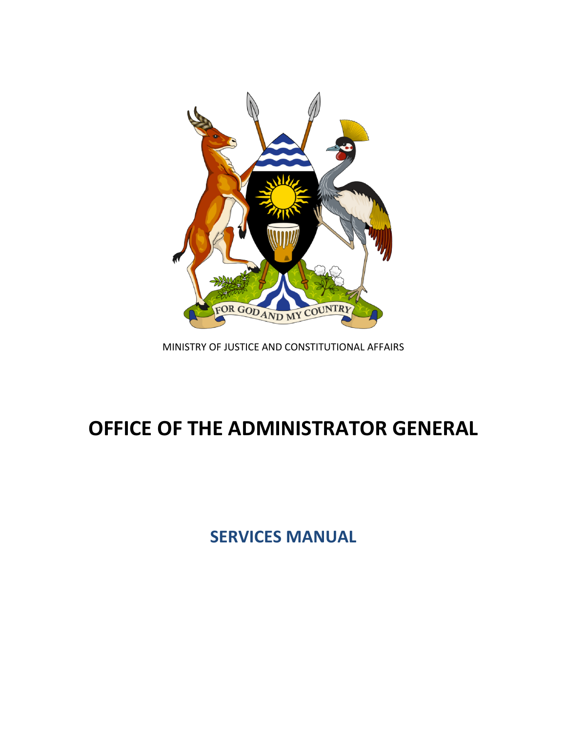

MINISTRY OF JUSTICE AND CONSTITUTIONAL AFFAIRS

## **OFFICE OF THE ADMINISTRATOR GENERAL**

**SERVICES MANUAL**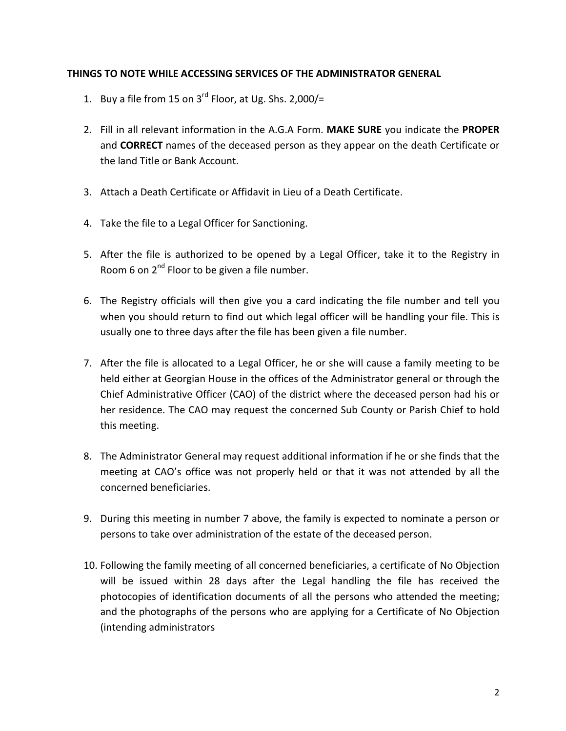## **THINGS TO NOTE WHILE ACCESSING SERVICES OF THE ADMINISTRATOR GENERAL**

- 1. Buy a file from 15 on  $3^{rd}$  Floor, at Ug. Shs. 2,000/=
- 2. Fill in all relevant information in the A.G.A Form. MAKE SURE you indicate the PROPER and **CORRECT** names of the deceased person as they appear on the death Certificate or the land Title or Bank Account.
- 3. Attach a Death Certificate or Affidavit in Lieu of a Death Certificate.
- 4. Take the file to a Legal Officer for Sanctioning.
- 5. After the file is authorized to be opened by a Legal Officer, take it to the Registry in Room 6 on  $2^{nd}$  Floor to be given a file number.
- 6. The Registry officials will then give you a card indicating the file number and tell you when you should return to find out which legal officer will be handling your file. This is usually one to three days after the file has been given a file number.
- 7. After the file is allocated to a Legal Officer, he or she will cause a family meeting to be held either at Georgian House in the offices of the Administrator general or through the Chief Administrative Officer (CAO) of the district where the deceased person had his or her residence. The CAO may request the concerned Sub County or Parish Chief to hold this meeting.
- 8. The Administrator General may request additional information if he or she finds that the meeting at CAO's office was not properly held or that it was not attended by all the concerned beneficiaries.
- 9. During this meeting in number 7 above, the family is expected to nominate a person or persons to take over administration of the estate of the deceased person.
- 10. Following the family meeting of all concerned beneficiaries, a certificate of No Objection will be issued within 28 days after the Legal handling the file has received the photocopies of identification documents of all the persons who attended the meeting; and the photographs of the persons who are applying for a Certificate of No Objection (intending administrators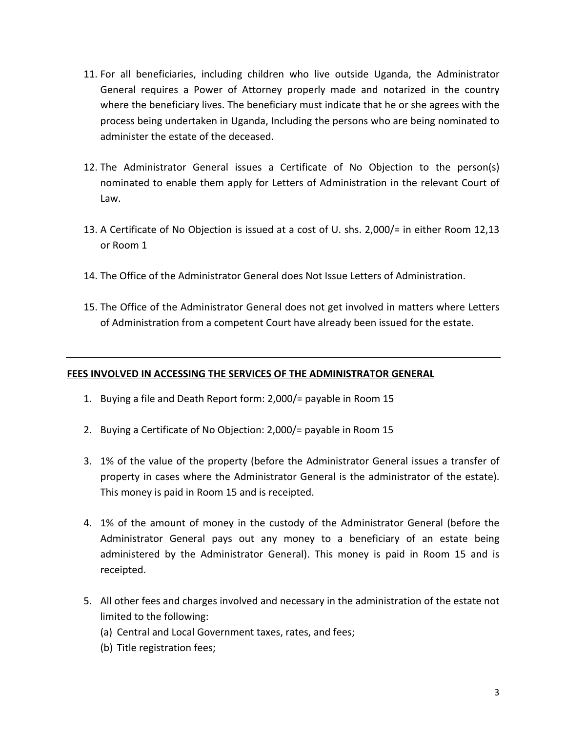- 11. For all beneficiaries, including children who live outside Uganda, the Administrator General requires a Power of Attorney properly made and notarized in the country where the beneficiary lives. The beneficiary must indicate that he or she agrees with the process being undertaken in Uganda, Including the persons who are being nominated to administer the estate of the deceased.
- 12. The Administrator General issues a Certificate of No Objection to the person(s) nominated to enable them apply for Letters of Administration in the relevant Court of Law.
- 13. A Certificate of No Objection is issued at a cost of U. shs. 2,000/= in either Room 12,13 or Room 1
- 14. The Office of the Administrator General does Not Issue Letters of Administration.
- 15. The Office of the Administrator General does not get involved in matters where Letters of Administration from a competent Court have already been issued for the estate.

## FEES INVOLVED IN ACCESSING THE SERVICES OF THE ADMINISTRATOR GENERAL

- 1. Buying a file and Death Report form: 2,000/= payable in Room 15
- 2. Buying a Certificate of No Objection:  $2,000/$ = payable in Room 15
- 3. 1% of the value of the property (before the Administrator General issues a transfer of property in cases where the Administrator General is the administrator of the estate). This money is paid in Room 15 and is receipted.
- 4. 1% of the amount of money in the custody of the Administrator General (before the Administrator General pays out any money to a beneficiary of an estate being administered by the Administrator General). This money is paid in Room 15 and is receipted.
- 5. All other fees and charges involved and necessary in the administration of the estate not limited to the following:
	- (a) Central and Local Government taxes, rates, and fees;
	- (b) Title registration fees;